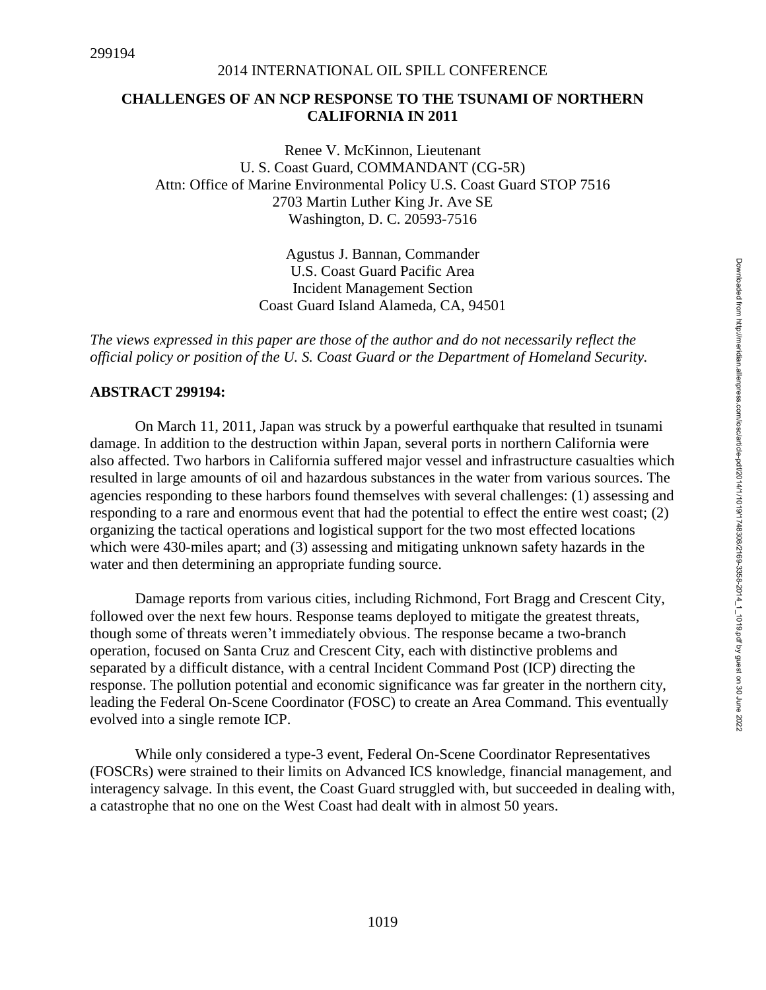#### **CHALLENGES OF AN NCP RESPONSE TO THE TSUNAMI OF NORTHERN CALIFORNIA IN 2011**

Renee V. McKinnon, Lieutenant U. S. Coast Guard, COMMANDANT (CG-5R) Attn: Office of Marine Environmental Policy U.S. Coast Guard STOP 7516 2703 Martin Luther King Jr. Ave SE Washington, D. C. 20593-7516

> Agustus J. Bannan, Commander U.S. Coast Guard Pacific Area Incident Management Section Coast Guard Island Alameda, CA, 94501

*The views expressed in this paper are those of the author and do not necessarily reflect the official policy or position of the U. S. Coast Guard or the Department of Homeland Security.*

#### **ABSTRACT 299194:**

On March 11, 2011, Japan was struck by a powerful earthquake that resulted in tsunami damage. In addition to the destruction within Japan, several ports in northern California were also affected. Two harbors in California suffered major vessel and infrastructure casualties which resulted in large amounts of oil and hazardous substances in the water from various sources. The agencies responding to these harbors found themselves with several challenges: (1) assessing and responding to a rare and enormous event that had the potential to effect the entire west coast; (2) organizing the tactical operations and logistical support for the two most effected locations which were 430-miles apart; and (3) assessing and mitigating unknown safety hazards in the water and then determining an appropriate funding source.

Damage reports from various cities, including Richmond, Fort Bragg and Crescent City, followed over the next few hours. Response teams deployed to mitigate the greatest threats, though some of threats weren't immediately obvious. The response became a two-branch operation, focused on Santa Cruz and Crescent City, each with distinctive problems and separated by a difficult distance, with a central Incident Command Post (ICP) directing the response. The pollution potential and economic significance was far greater in the northern city, leading the Federal On-Scene Coordinator (FOSC) to create an Area Command. This eventually evolved into a single remote ICP.

While only considered a type-3 event, Federal On-Scene Coordinator Representatives (FOSCRs) were strained to their limits on Advanced ICS knowledge, financial management, and interagency salvage. In this event, the Coast Guard struggled with, but succeeded in dealing with, a catastrophe that no one on the West Coast had dealt with in almost 50 years.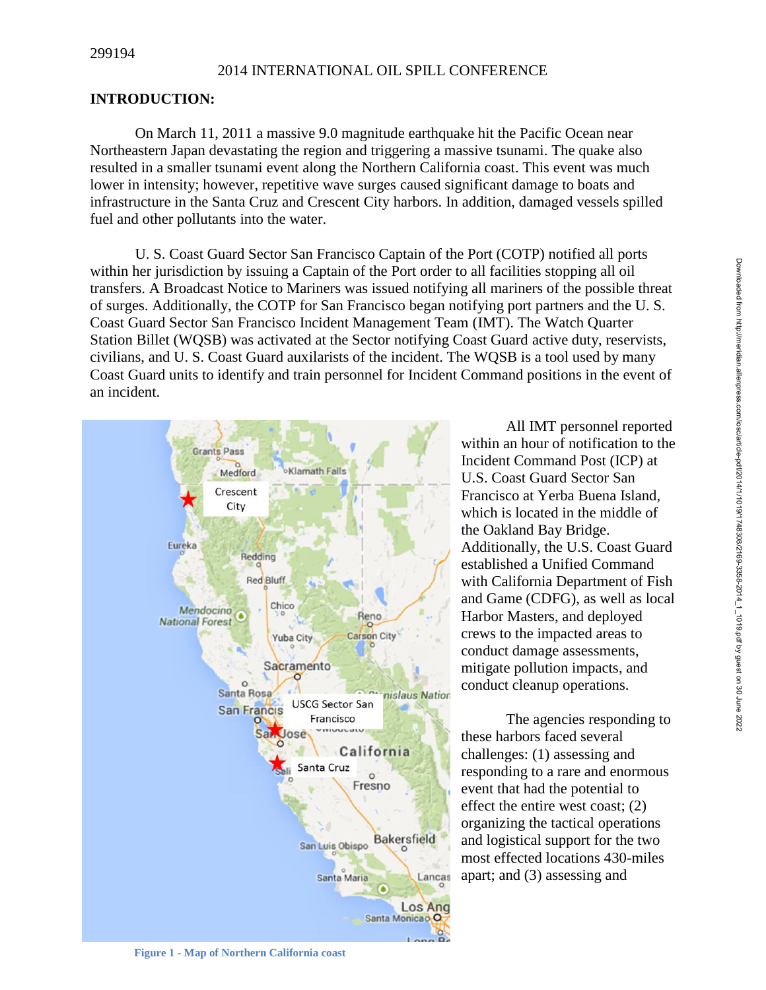## **INTRODUCTION:**

On March 11, 2011 a massive 9.0 magnitude earthquake hit the Pacific Ocean near Northeastern Japan devastating the region and triggering a massive tsunami. The quake also resulted in a smaller tsunami event along the Northern California coast. This event was much lower in intensity; however, repetitive wave surges caused significant damage to boats and infrastructure in the Santa Cruz and Crescent City harbors. In addition, damaged vessels spilled fuel and other pollutants into the water.

U. S. Coast Guard Sector San Francisco Captain of the Port (COTP) notified all ports within her jurisdiction by issuing a Captain of the Port order to all facilities stopping all oil transfers. A Broadcast Notice to Mariners was issued notifying all mariners of the possible threat of surges. Additionally, the COTP for San Francisco began notifying port partners and the U. S. Coast Guard Sector San Francisco Incident Management Team (IMT). The Watch Quarter Station Billet (WQSB) was activated at the Sector notifying Coast Guard active duty, reservists, civilians, and U. S. Coast Guard auxilarists of the incident. The WQSB is a tool used by many Coast Guard units to identify and train personnel for Incident Command positions in the event of an incident.



All IMT personnel reported within an hour of notification to the Incident Command Post (ICP) at U.S. Coast Guard Sector San Francisco at Yerba Buena Island, which is located in the middle of the Oakland Bay Bridge. Additionally, the U.S. Coast Guard established a Unified Command with California Department of Fish and Game (CDFG), as well as local Harbor Masters, and deployed crews to the impacted areas to conduct damage assessments, mitigate pollution impacts, and conduct cleanup operations.

The agencies responding to these harbors faced several challenges: (1) assessing and responding to a rare and enormous event that had the potential to effect the entire west coast; (2) organizing the tactical operations and logistical support for the two most effected locations 430-miles apart; and (3) assessing and

Downloaded from http://meridian.allenpress.com/iosc/article-pdf/2014/1/1019/1748308/2169-3358-2014\_1\_1019.pdf by guest on 30 June 2022 Downloaded from http://meridian.allenpress.com/iosc/article-pdf/2014/1/1019/1748308/2169-3358-2014\_1\_1019.pdf by guest on 30 June 2022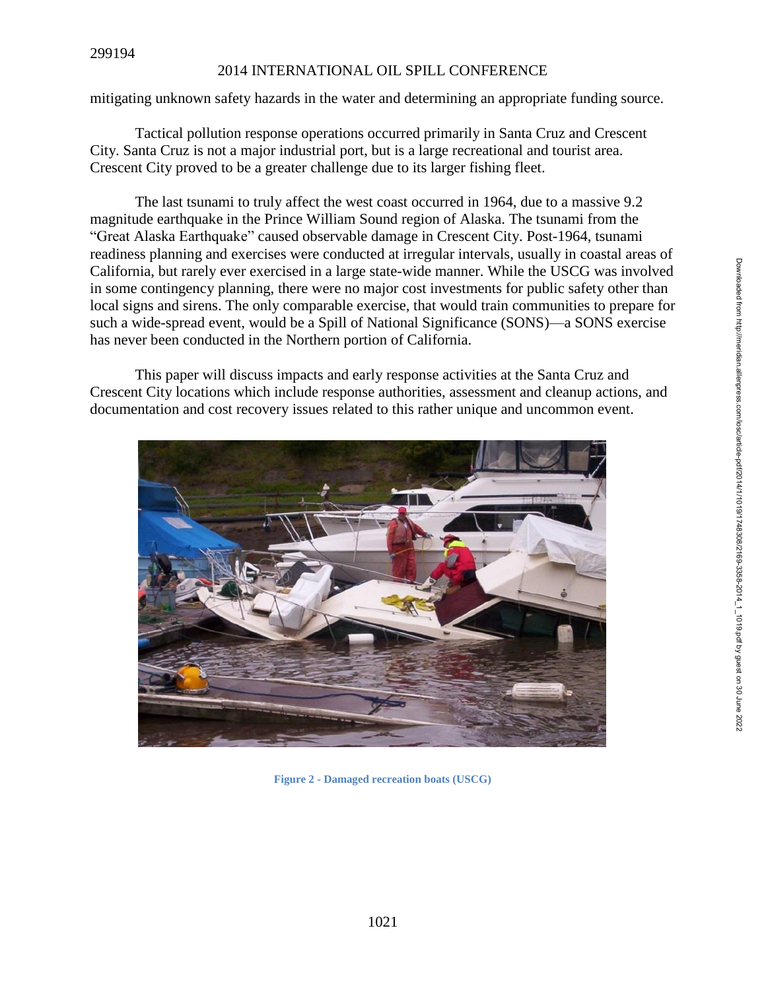mitigating unknown safety hazards in the water and determining an appropriate funding source.

Tactical pollution response operations occurred primarily in Santa Cruz and Crescent City. Santa Cruz is not a major industrial port, but is a large recreational and tourist area. Crescent City proved to be a greater challenge due to its larger fishing fleet.

The last tsunami to truly affect the west coast occurred in 1964, due to a massive 9.2 magnitude earthquake in the Prince William Sound region of Alaska. The tsunami from the "Great Alaska Earthquake" caused observable damage in Crescent City. Post-1964, tsunami readiness planning and exercises were conducted at irregular intervals, usually in coastal areas of California, but rarely ever exercised in a large state-wide manner. While the USCG was involved in some contingency planning, there were no major cost investments for public safety other than local signs and sirens. The only comparable exercise, that would train communities to prepare for such a wide-spread event, would be a Spill of National Significance (SONS)—a SONS exercise has never been conducted in the Northern portion of California.

This paper will discuss impacts and early response activities at the Santa Cruz and Crescent City locations which include response authorities, assessment and cleanup actions, and documentation and cost recovery issues related to this rather unique and uncommon event.



**Figure 2 - Damaged recreation boats (USCG)**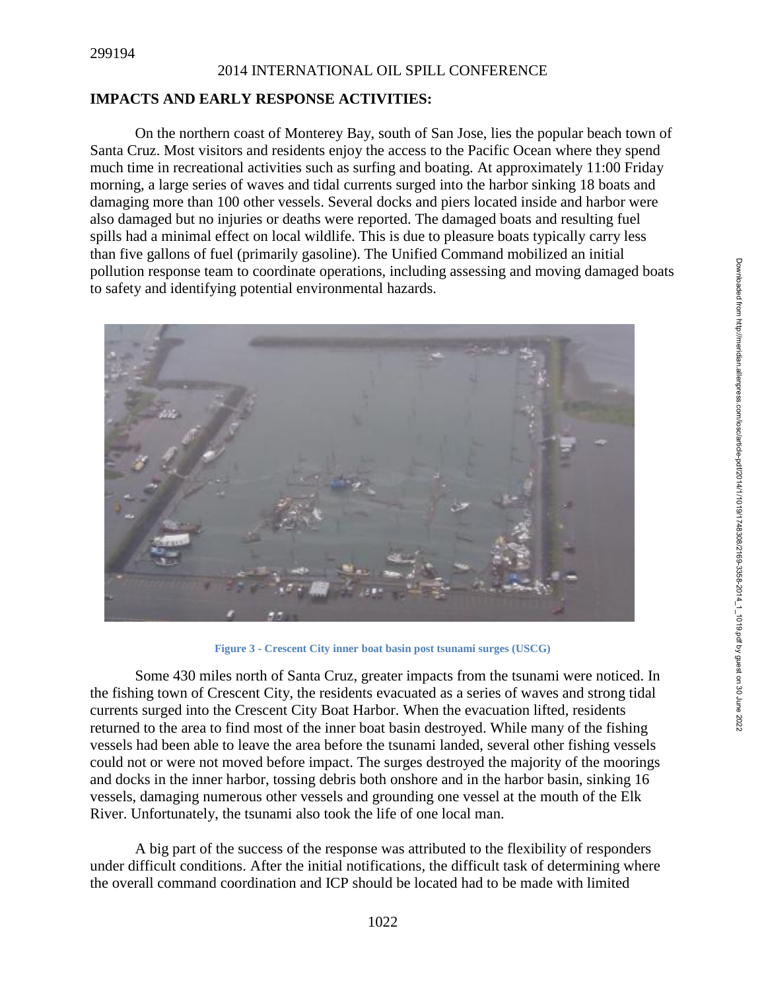## **IMPACTS AND EARLY RESPONSE ACTIVITIES:**

On the northern coast of Monterey Bay, south of San Jose, lies the popular beach town of Santa Cruz. Most visitors and residents enjoy the access to the Pacific Ocean where they spend much time in recreational activities such as surfing and boating. At approximately 11:00 Friday morning, a large series of waves and tidal currents surged into the harbor sinking 18 boats and damaging more than 100 other vessels. Several docks and piers located inside and harbor were also damaged but no injuries or deaths were reported. The damaged boats and resulting fuel spills had a minimal effect on local wildlife. This is due to pleasure boats typically carry less than five gallons of fuel (primarily gasoline). The Unified Command mobilized an initial pollution response team to coordinate operations, including assessing and moving damaged boats to safety and identifying potential environmental hazards.



**Figure 3 - Crescent City inner boat basin post tsunami surges (USCG)**

Some 430 miles north of Santa Cruz, greater impacts from the tsunami were noticed. In the fishing town of Crescent City, the residents evacuated as a series of waves and strong tidal currents surged into the Crescent City Boat Harbor. When the evacuation lifted, residents returned to the area to find most of the inner boat basin destroyed. While many of the fishing vessels had been able to leave the area before the tsunami landed, several other fishing vessels could not or were not moved before impact. The surges destroyed the majority of the moorings and docks in the inner harbor, tossing debris both onshore and in the harbor basin, sinking 16 vessels, damaging numerous other vessels and grounding one vessel at the mouth of the Elk River. Unfortunately, the tsunami also took the life of one local man.

A big part of the success of the response was attributed to the flexibility of responders under difficult conditions. After the initial notifications, the difficult task of determining where the overall command coordination and ICP should be located had to be made with limited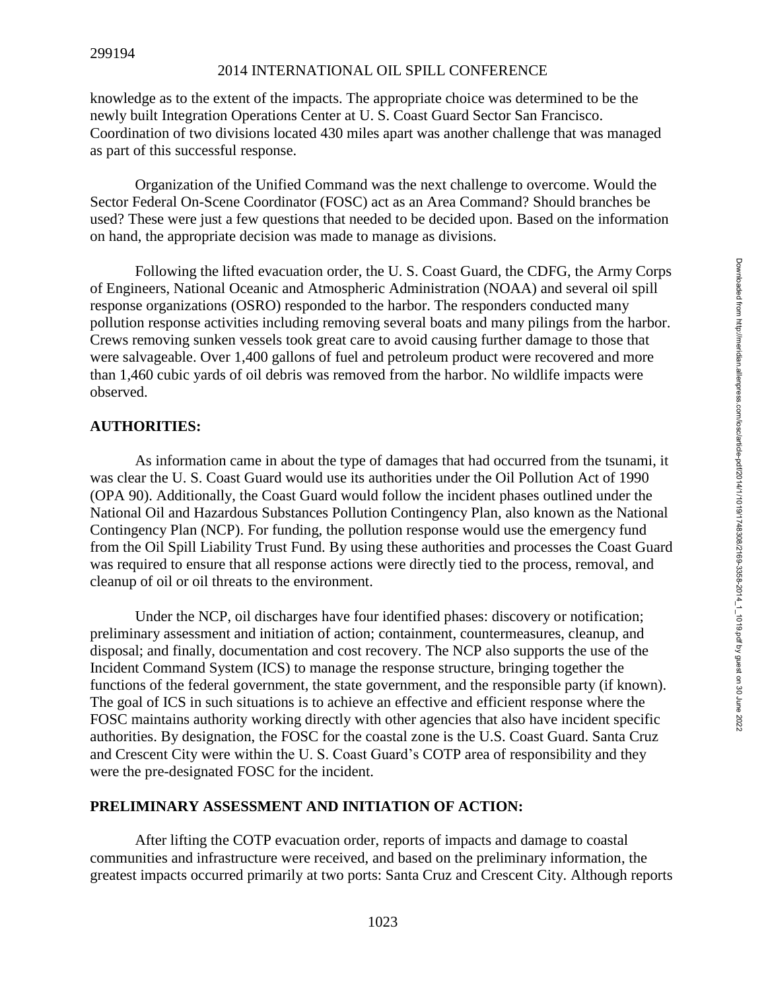knowledge as to the extent of the impacts. The appropriate choice was determined to be the newly built Integration Operations Center at U. S. Coast Guard Sector San Francisco. Coordination of two divisions located 430 miles apart was another challenge that was managed as part of this successful response.

Organization of the Unified Command was the next challenge to overcome. Would the Sector Federal On-Scene Coordinator (FOSC) act as an Area Command? Should branches be used? These were just a few questions that needed to be decided upon. Based on the information on hand, the appropriate decision was made to manage as divisions.

Following the lifted evacuation order, the U. S. Coast Guard, the CDFG, the Army Corps of Engineers, National Oceanic and Atmospheric Administration (NOAA) and several oil spill response organizations (OSRO) responded to the harbor. The responders conducted many pollution response activities including removing several boats and many pilings from the harbor. Crews removing sunken vessels took great care to avoid causing further damage to those that were salvageable. Over 1,400 gallons of fuel and petroleum product were recovered and more than 1,460 cubic yards of oil debris was removed from the harbor. No wildlife impacts were observed.

## **AUTHORITIES:**

As information came in about the type of damages that had occurred from the tsunami, it was clear the U. S. Coast Guard would use its authorities under the Oil Pollution Act of 1990 (OPA 90). Additionally, the Coast Guard would follow the incident phases outlined under the National Oil and Hazardous Substances Pollution Contingency Plan, also known as the National Contingency Plan (NCP). For funding, the pollution response would use the emergency fund from the Oil Spill Liability Trust Fund. By using these authorities and processes the Coast Guard was required to ensure that all response actions were directly tied to the process, removal, and cleanup of oil or oil threats to the environment.

Under the NCP, oil discharges have four identified phases: discovery or notification; preliminary assessment and initiation of action; containment, countermeasures, cleanup, and disposal; and finally, documentation and cost recovery. The NCP also supports the use of the Incident Command System (ICS) to manage the response structure, bringing together the functions of the federal government, the state government, and the responsible party (if known). The goal of ICS in such situations is to achieve an effective and efficient response where the FOSC maintains authority working directly with other agencies that also have incident specific authorities. By designation, the FOSC for the coastal zone is the U.S. Coast Guard. Santa Cruz and Crescent City were within the U. S. Coast Guard's COTP area of responsibility and they were the pre-designated FOSC for the incident.

## **PRELIMINARY ASSESSMENT AND INITIATION OF ACTION:**

After lifting the COTP evacuation order, reports of impacts and damage to coastal communities and infrastructure were received, and based on the preliminary information, the greatest impacts occurred primarily at two ports: Santa Cruz and Crescent City. Although reports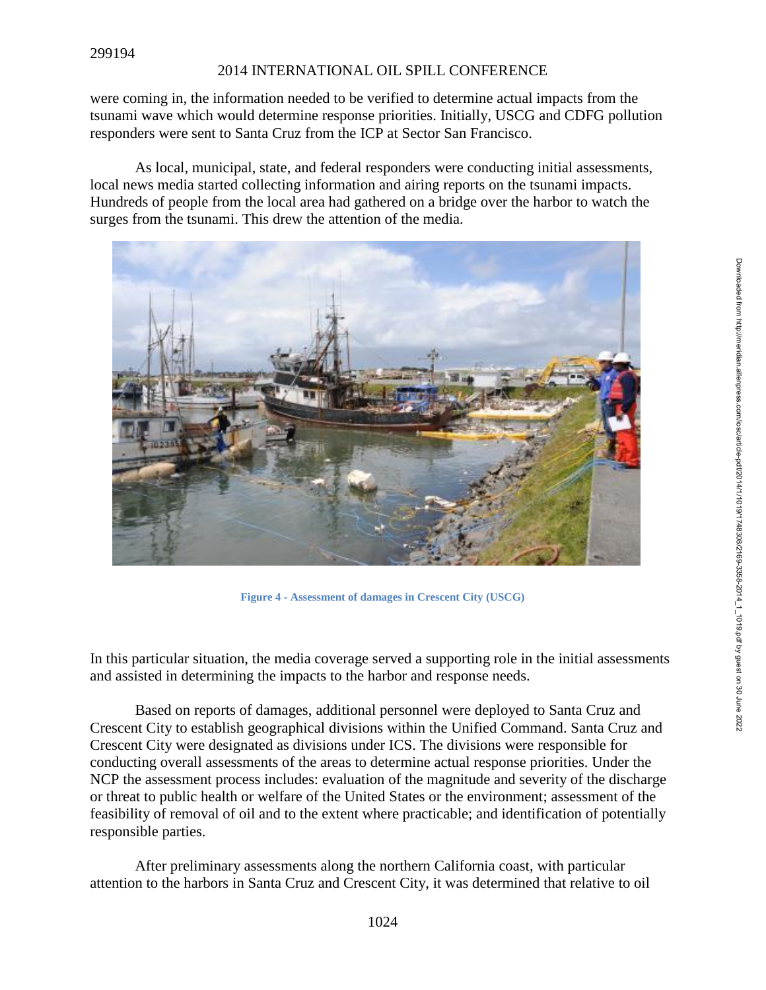were coming in, the information needed to be verified to determine actual impacts from the tsunami wave which would determine response priorities. Initially, USCG and CDFG pollution responders were sent to Santa Cruz from the ICP at Sector San Francisco.

As local, municipal, state, and federal responders were conducting initial assessments, local news media started collecting information and airing reports on the tsunami impacts. Hundreds of people from the local area had gathered on a bridge over the harbor to watch the surges from the tsunami. This drew the attention of the media.



**Figure 4 - Assessment of damages in Crescent City (USCG)**

In this particular situation, the media coverage served a supporting role in the initial assessments and assisted in determining the impacts to the harbor and response needs.

Based on reports of damages, additional personnel were deployed to Santa Cruz and Crescent City to establish geographical divisions within the Unified Command. Santa Cruz and Crescent City were designated as divisions under ICS. The divisions were responsible for conducting overall assessments of the areas to determine actual response priorities. Under the NCP the assessment process includes: evaluation of the magnitude and severity of the discharge or threat to public health or welfare of the United States or the environment; assessment of the feasibility of removal of oil and to the extent where practicable; and identification of potentially responsible parties.

After preliminary assessments along the northern California coast, with particular attention to the harbors in Santa Cruz and Crescent City, it was determined that relative to oil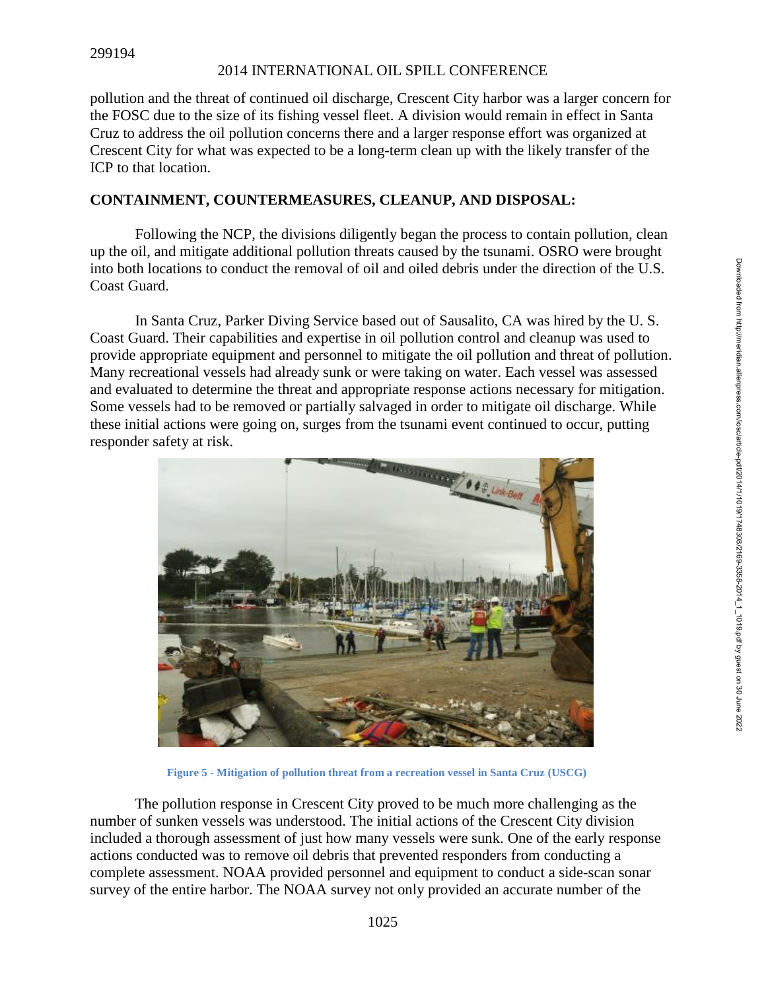pollution and the threat of continued oil discharge, Crescent City harbor was a larger concern for the FOSC due to the size of its fishing vessel fleet. A division would remain in effect in Santa Cruz to address the oil pollution concerns there and a larger response effort was organized at Crescent City for what was expected to be a long-term clean up with the likely transfer of the ICP to that location.

# **CONTAINMENT, COUNTERMEASURES, CLEANUP, AND DISPOSAL:**

Following the NCP, the divisions diligently began the process to contain pollution, clean up the oil, and mitigate additional pollution threats caused by the tsunami. OSRO were brought into both locations to conduct the removal of oil and oiled debris under the direction of the U.S. Coast Guard.

In Santa Cruz, Parker Diving Service based out of Sausalito, CA was hired by the U. S. Coast Guard. Their capabilities and expertise in oil pollution control and cleanup was used to provide appropriate equipment and personnel to mitigate the oil pollution and threat of pollution. Many recreational vessels had already sunk or were taking on water. Each vessel was assessed and evaluated to determine the threat and appropriate response actions necessary for mitigation. Some vessels had to be removed or partially salvaged in order to mitigate oil discharge. While these initial actions were going on, surges from the tsunami event continued to occur, putting responder safety at risk.



**Figure 5 - Mitigation of pollution threat from a recreation vessel in Santa Cruz (USCG)**

The pollution response in Crescent City proved to be much more challenging as the number of sunken vessels was understood. The initial actions of the Crescent City division included a thorough assessment of just how many vessels were sunk. One of the early response actions conducted was to remove oil debris that prevented responders from conducting a complete assessment. NOAA provided personnel and equipment to conduct a side-scan sonar survey of the entire harbor. The NOAA survey not only provided an accurate number of the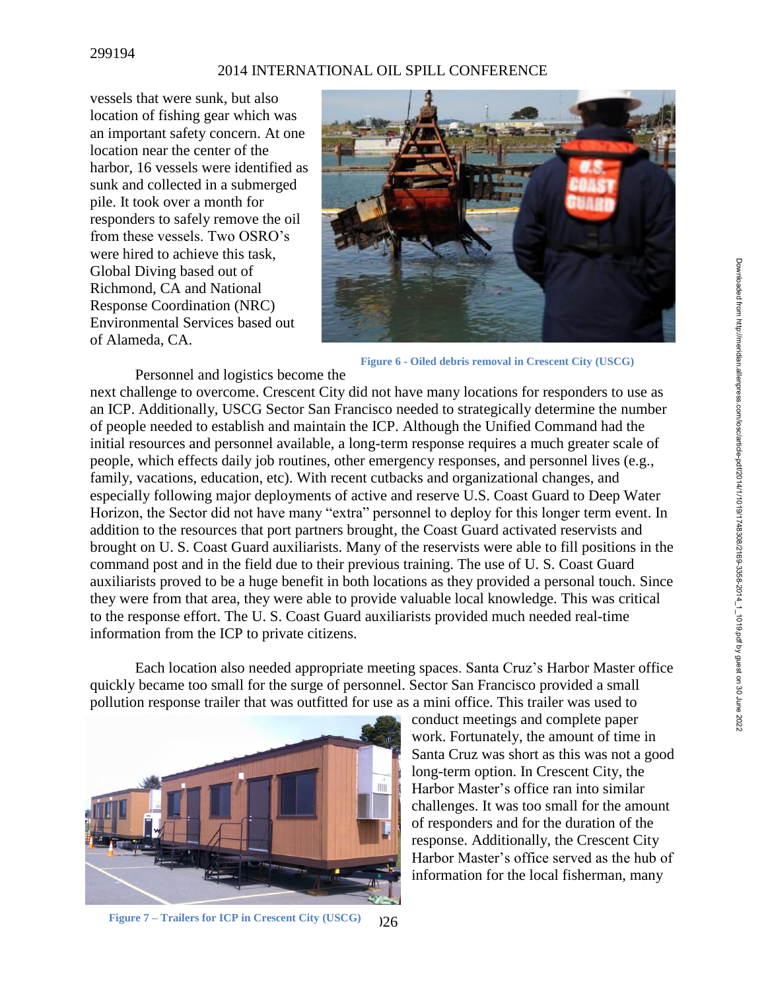#### 299194

#### 2014 INTERNATIONAL OIL SPILL CONFERENCE

vessels that were sunk, but also location of fishing gear which was an important safety concern. At one location near the center of the harbor, 16 vessels were identified as sunk and collected in a submerged pile. It took over a month for responders to safely remove the oil from these vessels. Two OSRO's were hired to achieve this task, Global Diving based out of Richmond, CA and National Response Coordination (NRC) Environmental Services based out of Alameda, CA.



**Figure 6 - Oiled debris removal in Crescent City (USCG)**

Personnel and logistics become the next challenge to overcome. Crescent City did not have many locations for responders to use as an ICP. Additionally, USCG Sector San Francisco needed to strategically determine the number of people needed to establish and maintain the ICP. Although the Unified Command had the initial resources and personnel available, a long-term response requires a much greater scale of people, which effects daily job routines, other emergency responses, and personnel lives (e.g., family, vacations, education, etc). With recent cutbacks and organizational changes, and especially following major deployments of active and reserve U.S. Coast Guard to Deep Water Horizon, the Sector did not have many "extra" personnel to deploy for this longer term event. In addition to the resources that port partners brought, the Coast Guard activated reservists and brought on U. S. Coast Guard auxiliarists. Many of the reservists were able to fill positions in the command post and in the field due to their previous training. The use of U. S. Coast Guard auxiliarists proved to be a huge benefit in both locations as they provided a personal touch. Since they were from that area, they were able to provide valuable local knowledge. This was critical to the response effort. The U. S. Coast Guard auxiliarists provided much needed real-time information from the ICP to private citizens.

Each location also needed appropriate meeting spaces. Santa Cruz's Harbor Master office quickly became too small for the surge of personnel. Sector San Francisco provided a small pollution response trailer that was outfitted for use as a mini office. This trailer was used to



conduct meetings and complete paper work. Fortunately, the amount of time in Santa Cruz was short as this was not a good long-term option. In Crescent City, the Harbor Master's office ran into similar challenges. It was too small for the amount of responders and for the duration of the response. Additionally, the Crescent City Harbor Master's office served as the hub of information for the local fisherman, many

 $126$ **Figure 7 – Trailers for ICP in Crescent City (USCG)**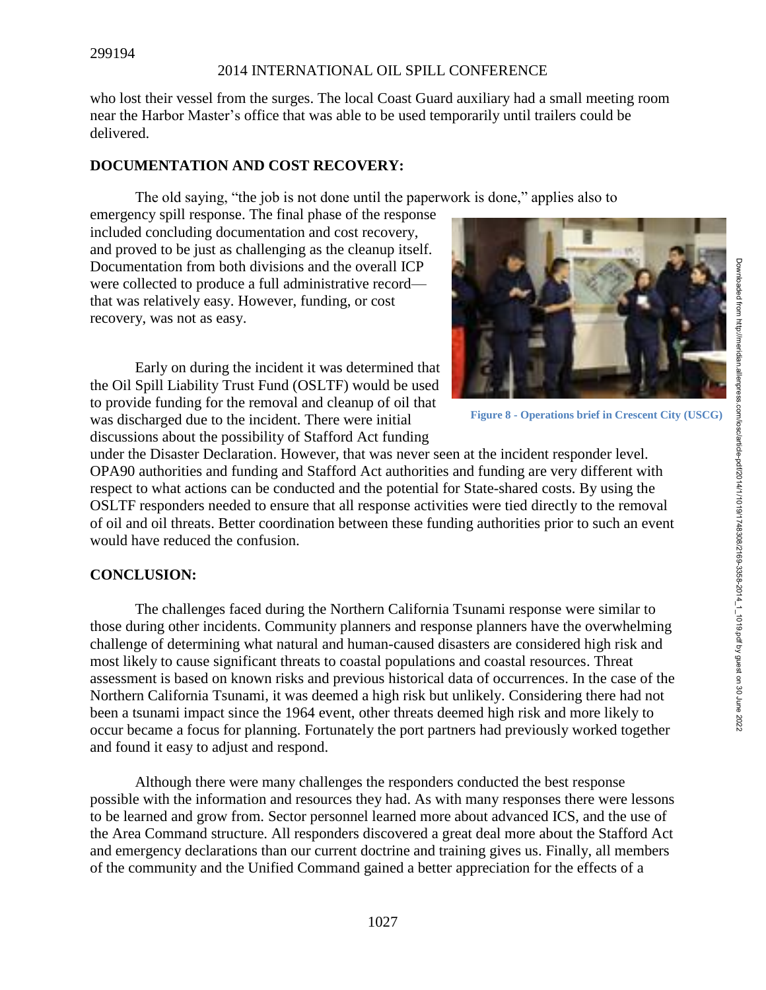who lost their vessel from the surges. The local Coast Guard auxiliary had a small meeting room near the Harbor Master's office that was able to be used temporarily until trailers could be delivered.

## **DOCUMENTATION AND COST RECOVERY:**

The old saying, "the job is not done until the paperwork is done," applies also to

emergency spill response. The final phase of the response included concluding documentation and cost recovery, and proved to be just as challenging as the cleanup itself. Documentation from both divisions and the overall ICP were collected to produce a full administrative record that was relatively easy. However, funding, or cost recovery, was not as easy.





**Figure 8 - Operations brief in Crescent City (USCG)**

under the Disaster Declaration. However, that was never seen at the incident responder level. OPA90 authorities and funding and Stafford Act authorities and funding are very different with respect to what actions can be conducted and the potential for State-shared costs. By using the OSLTF responders needed to ensure that all response activities were tied directly to the removal of oil and oil threats. Better coordination between these funding authorities prior to such an event would have reduced the confusion.

# **CONCLUSION:**

The challenges faced during the Northern California Tsunami response were similar to those during other incidents. Community planners and response planners have the overwhelming challenge of determining what natural and human-caused disasters are considered high risk and most likely to cause significant threats to coastal populations and coastal resources. Threat assessment is based on known risks and previous historical data of occurrences. In the case of the Northern California Tsunami, it was deemed a high risk but unlikely. Considering there had not been a tsunami impact since the 1964 event, other threats deemed high risk and more likely to occur became a focus for planning. Fortunately the port partners had previously worked together and found it easy to adjust and respond.

Although there were many challenges the responders conducted the best response possible with the information and resources they had. As with many responses there were lessons to be learned and grow from. Sector personnel learned more about advanced ICS, and the use of the Area Command structure. All responders discovered a great deal more about the Stafford Act and emergency declarations than our current doctrine and training gives us. Finally, all members of the community and the Unified Command gained a better appreciation for the effects of a